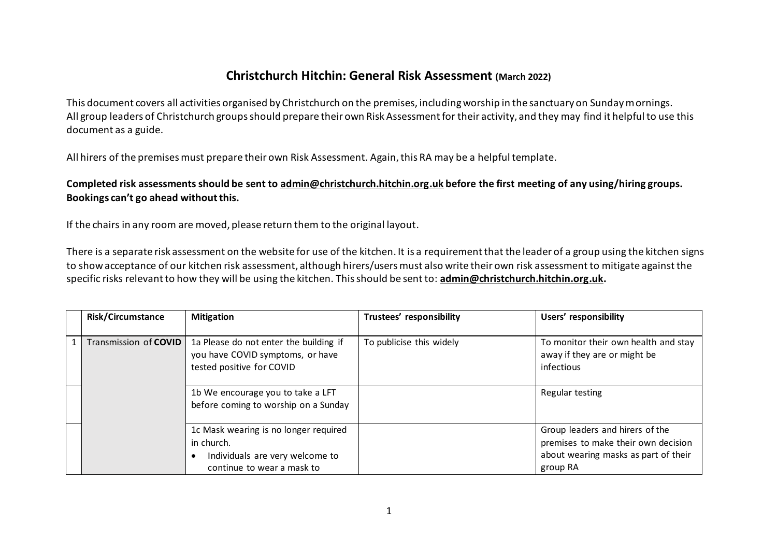## **Christchurch Hitchin: General Risk Assessment (March 2022)**

This document covers all activities organised by Christchurch on the premises, including worship in the sanctuary on Sunday mornings. All group leaders of Christchurch groups should prepare their own Risk Assessment for their activity, and they may find it helpful to use this document as a guide.

All hirers of the premises must prepare their own Risk Assessment. Again, this RA may be a helpful template.

**Completed risk assessments should be sent to [admin@christchurch.hitchin.org.uk](mailto:admin@christchurch.hitchin.org.uk) before the first meeting of any using/hiring groups. Bookings can't go ahead without this.**

If the chairs in any room are moved, please return them to the original layout.

There is a separate risk assessment on the website for use of the kitchen. It is a requirement that the leader of a group using the kitchen signs to show acceptance of our kitchen risk assessment, although hirers/users must also write their own risk assessment to mitigate against the specific risks relevant to how they will be using the kitchen. This should be sent to: **[admin@christchurch.hitchin.org.uk.](mailto:admin@christchurch.hitchin.org.uk)** 

| <b>Risk/Circumstance</b> | <b>Mitigation</b>                                                                                                    | Trustees' responsibility | Users' responsibility                                                                                                      |
|--------------------------|----------------------------------------------------------------------------------------------------------------------|--------------------------|----------------------------------------------------------------------------------------------------------------------------|
| Transmission of COVID    | 1a Please do not enter the building if<br>you have COVID symptoms, or have<br>tested positive for COVID              | To publicise this widely | To monitor their own health and stay<br>away if they are or might be<br>infectious                                         |
|                          | 1b We encourage you to take a LFT<br>before coming to worship on a Sunday                                            |                          | Regular testing                                                                                                            |
|                          | 1c Mask wearing is no longer required<br>in church.<br>Individuals are very welcome to<br>continue to wear a mask to |                          | Group leaders and hirers of the<br>premises to make their own decision<br>about wearing masks as part of their<br>group RA |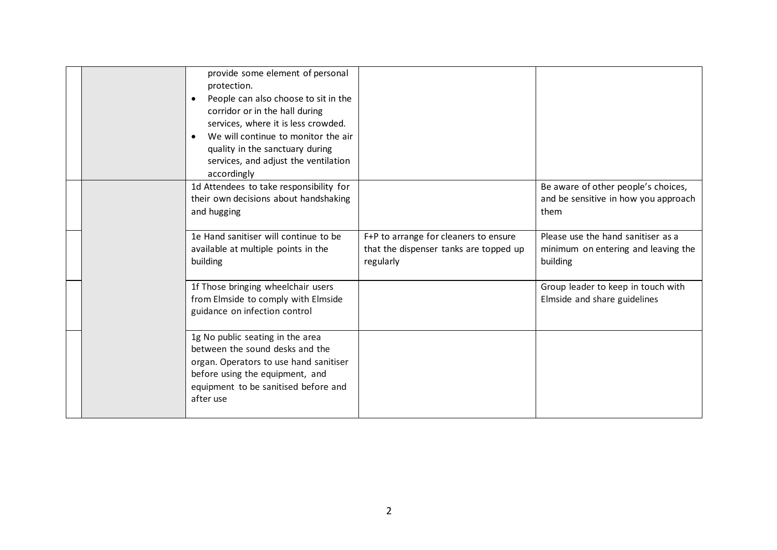|  | provide some element of personal<br>protection.<br>People can also choose to sit in the<br>$\bullet$<br>corridor or in the hall during<br>services, where it is less crowded.<br>We will continue to monitor the air<br>$\bullet$<br>quality in the sanctuary during<br>services, and adjust the ventilation<br>accordingly |                                                                                              |                                                                                       |
|--|-----------------------------------------------------------------------------------------------------------------------------------------------------------------------------------------------------------------------------------------------------------------------------------------------------------------------------|----------------------------------------------------------------------------------------------|---------------------------------------------------------------------------------------|
|  | 1d Attendees to take responsibility for<br>their own decisions about handshaking<br>and hugging                                                                                                                                                                                                                             |                                                                                              | Be aware of other people's choices,<br>and be sensitive in how you approach<br>them   |
|  | 1e Hand sanitiser will continue to be<br>available at multiple points in the<br>building                                                                                                                                                                                                                                    | F+P to arrange for cleaners to ensure<br>that the dispenser tanks are topped up<br>regularly | Please use the hand sanitiser as a<br>minimum on entering and leaving the<br>building |
|  | 1f Those bringing wheelchair users<br>from Elmside to comply with Elmside<br>guidance on infection control                                                                                                                                                                                                                  |                                                                                              | Group leader to keep in touch with<br>Elmside and share guidelines                    |
|  | 1g No public seating in the area<br>between the sound desks and the<br>organ. Operators to use hand sanitiser<br>before using the equipment, and<br>equipment to be sanitised before and<br>after use                                                                                                                       |                                                                                              |                                                                                       |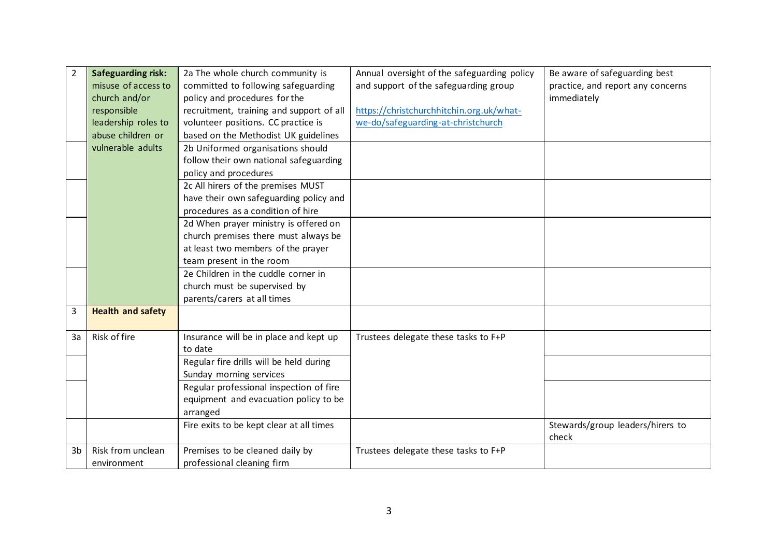| $\overline{2}$ | <b>Safeguarding risk:</b> | 2a The whole church community is                  | Annual oversight of the safeguarding policy | Be aware of safeguarding best             |
|----------------|---------------------------|---------------------------------------------------|---------------------------------------------|-------------------------------------------|
|                | misuse of access to       | committed to following safeguarding               | and support of the safeguarding group       | practice, and report any concerns         |
|                | church and/or             | policy and procedures for the                     |                                             | immediately                               |
|                | responsible               | recruitment, training and support of all          | https://christchurchhitchin.org.uk/what-    |                                           |
|                | leadership roles to       | volunteer positions. CC practice is               | we-do/safeguarding-at-christchurch          |                                           |
|                | abuse children or         | based on the Methodist UK guidelines              |                                             |                                           |
|                | vulnerable adults         | 2b Uniformed organisations should                 |                                             |                                           |
|                |                           | follow their own national safeguarding            |                                             |                                           |
|                |                           | policy and procedures                             |                                             |                                           |
|                |                           | 2c All hirers of the premises MUST                |                                             |                                           |
|                |                           | have their own safeguarding policy and            |                                             |                                           |
|                |                           | procedures as a condition of hire                 |                                             |                                           |
|                |                           | 2d When prayer ministry is offered on             |                                             |                                           |
|                |                           | church premises there must always be              |                                             |                                           |
|                |                           | at least two members of the prayer                |                                             |                                           |
|                |                           | team present in the room                          |                                             |                                           |
|                |                           | 2e Children in the cuddle corner in               |                                             |                                           |
|                |                           | church must be supervised by                      |                                             |                                           |
|                |                           | parents/carers at all times                       |                                             |                                           |
| 3              | <b>Health and safety</b>  |                                                   |                                             |                                           |
| 3a             | Risk of fire              | Insurance will be in place and kept up<br>to date | Trustees delegate these tasks to F+P        |                                           |
|                |                           | Regular fire drills will be held during           |                                             |                                           |
|                |                           | Sunday morning services                           |                                             |                                           |
|                |                           | Regular professional inspection of fire           |                                             |                                           |
|                |                           | equipment and evacuation policy to be             |                                             |                                           |
|                |                           | arranged                                          |                                             |                                           |
|                |                           | Fire exits to be kept clear at all times          |                                             | Stewards/group leaders/hirers to<br>check |
| 3 <sub>b</sub> | Risk from unclean         | Premises to be cleaned daily by                   | Trustees delegate these tasks to F+P        |                                           |
|                | environment               | professional cleaning firm                        |                                             |                                           |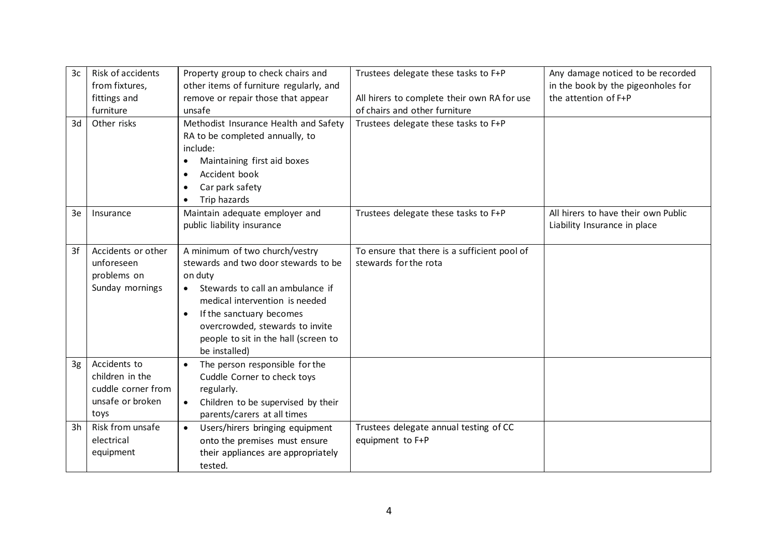| 3c | Risk of accidents  | Property group to check chairs and              | Trustees delegate these tasks to F+P         | Any damage noticed to be recorded   |
|----|--------------------|-------------------------------------------------|----------------------------------------------|-------------------------------------|
|    | from fixtures,     | other items of furniture regularly, and         |                                              | in the book by the pigeonholes for  |
|    | fittings and       | remove or repair those that appear              | All hirers to complete their own RA for use  | the attention of F+P                |
|    | furniture          | unsafe                                          | of chairs and other furniture                |                                     |
| 3d | Other risks        | Methodist Insurance Health and Safety           | Trustees delegate these tasks to F+P         |                                     |
|    |                    | RA to be completed annually, to                 |                                              |                                     |
|    |                    | include:                                        |                                              |                                     |
|    |                    | Maintaining first aid boxes<br>$\bullet$        |                                              |                                     |
|    |                    | Accident book<br>$\bullet$                      |                                              |                                     |
|    |                    | Car park safety                                 |                                              |                                     |
|    |                    | Trip hazards<br>$\bullet$                       |                                              |                                     |
| 3e | Insurance          | Maintain adequate employer and                  | Trustees delegate these tasks to F+P         | All hirers to have their own Public |
|    |                    | public liability insurance                      |                                              | Liability Insurance in place        |
|    |                    |                                                 |                                              |                                     |
| 3f | Accidents or other | A minimum of two church/vestry                  | To ensure that there is a sufficient pool of |                                     |
|    | unforeseen         | stewards and two door stewards to be            | stewards for the rota                        |                                     |
|    | problems on        | on duty                                         |                                              |                                     |
|    | Sunday mornings    | Stewards to call an ambulance if                |                                              |                                     |
|    |                    | medical intervention is needed                  |                                              |                                     |
|    |                    | If the sanctuary becomes<br>$\bullet$           |                                              |                                     |
|    |                    | overcrowded, stewards to invite                 |                                              |                                     |
|    |                    | people to sit in the hall (screen to            |                                              |                                     |
|    |                    | be installed)                                   |                                              |                                     |
| 3g | Accidents to       | The person responsible for the                  |                                              |                                     |
|    | children in the    | Cuddle Corner to check toys                     |                                              |                                     |
|    | cuddle corner from | regularly.                                      |                                              |                                     |
|    | unsafe or broken   | Children to be supervised by their<br>$\bullet$ |                                              |                                     |
|    | toys               | parents/carers at all times                     |                                              |                                     |
| 3h | Risk from unsafe   | Users/hirers bringing equipment<br>$\bullet$    | Trustees delegate annual testing of CC       |                                     |
|    | electrical         | onto the premises must ensure                   | equipment to F+P                             |                                     |
|    | equipment          | their appliances are appropriately              |                                              |                                     |
|    |                    | tested.                                         |                                              |                                     |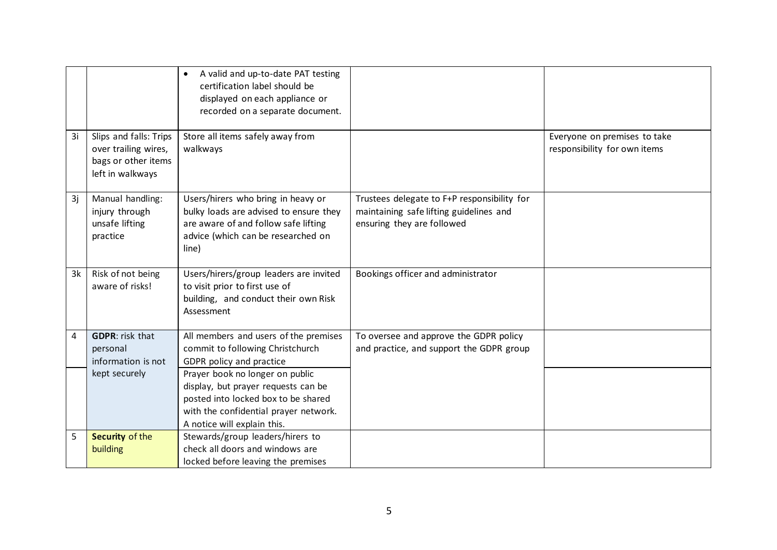|                |                                                                                           | A valid and up-to-date PAT testing<br>certification label should be<br>displayed on each appliance or<br>recorded on a separate document.                                             |                                                                                                                      |                                                              |
|----------------|-------------------------------------------------------------------------------------------|---------------------------------------------------------------------------------------------------------------------------------------------------------------------------------------|----------------------------------------------------------------------------------------------------------------------|--------------------------------------------------------------|
| 3i             | Slips and falls: Trips<br>over trailing wires,<br>bags or other items<br>left in walkways | Store all items safely away from<br>walkways                                                                                                                                          |                                                                                                                      | Everyone on premises to take<br>responsibility for own items |
| 3i             | Manual handling:<br>injury through<br>unsafe lifting<br>practice                          | Users/hirers who bring in heavy or<br>bulky loads are advised to ensure they<br>are aware of and follow safe lifting<br>advice (which can be researched on<br>line)                   | Trustees delegate to F+P responsibility for<br>maintaining safe lifting guidelines and<br>ensuring they are followed |                                                              |
| 3k             | Risk of not being<br>aware of risks!                                                      | Users/hirers/group leaders are invited<br>to visit prior to first use of<br>building, and conduct their own Risk<br>Assessment                                                        | Bookings officer and administrator                                                                                   |                                                              |
| $\overline{4}$ | <b>GDPR:</b> risk that<br>personal<br>information is not                                  | All members and users of the premises<br>commit to following Christchurch<br>GDPR policy and practice                                                                                 | To oversee and approve the GDPR policy<br>and practice, and support the GDPR group                                   |                                                              |
|                | kept securely                                                                             | Prayer book no longer on public<br>display, but prayer requests can be<br>posted into locked box to be shared<br>with the confidential prayer network.<br>A notice will explain this. |                                                                                                                      |                                                              |
| 5              | Security of the<br>building                                                               | Stewards/group leaders/hirers to<br>check all doors and windows are<br>locked before leaving the premises                                                                             |                                                                                                                      |                                                              |